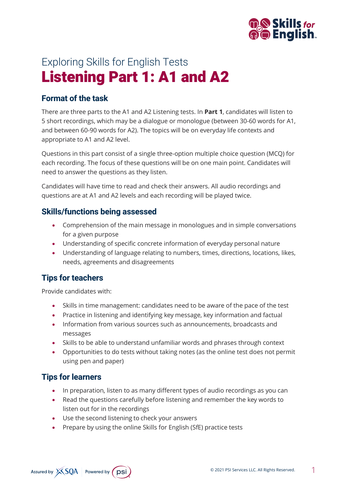

# Exploring Skills for English Tests Listening Part 1: A1 and A2

## **Format of the task**

There are three parts to the A1 and A2 Listening tests. In **Part 1**, candidates will listen to 5 short recordings, which may be a dialogue or monologue (between 30-60 words for A1, and between 60-90 words for A2). The topics will be on everyday life contexts and appropriate to A1 and A2 level.

Questions in this part consist of a single three-option multiple choice question (MCQ) for each recording. The focus of these questions will be on one main point. Candidates will need to answer the questions as they listen.

Candidates will have time to read and check their answers. All audio recordings and questions are at A1 and A2 levels and each recording will be played twice.

#### **Skills/functions being assessed**

- Comprehension of the main message in monologues and in simple conversations for a given purpose
- Understanding of specific concrete information of everyday personal nature
- Understanding of language relating to numbers, times, directions, locations, likes, needs, agreements and disagreements

# **Tips for teachers**

Provide candidates with:

- Skills in time management: candidates need to be aware of the pace of the test
- Practice in listening and identifying key message, key information and factual
- Information from various sources such as announcements, broadcasts and messages
- Skills to be able to understand unfamiliar words and phrases through context
- Opportunities to do tests without taking notes (as the online test does not permit using pen and paper)

# **Tips for learners**

- In preparation, listen to as many different types of audio recordings as you can
- Read the questions carefully before listening and remember the key words to listen out for in the recordings
- Use the second listening to check your answers
- Prepare by using the online Skills for English (SfE) practice tests